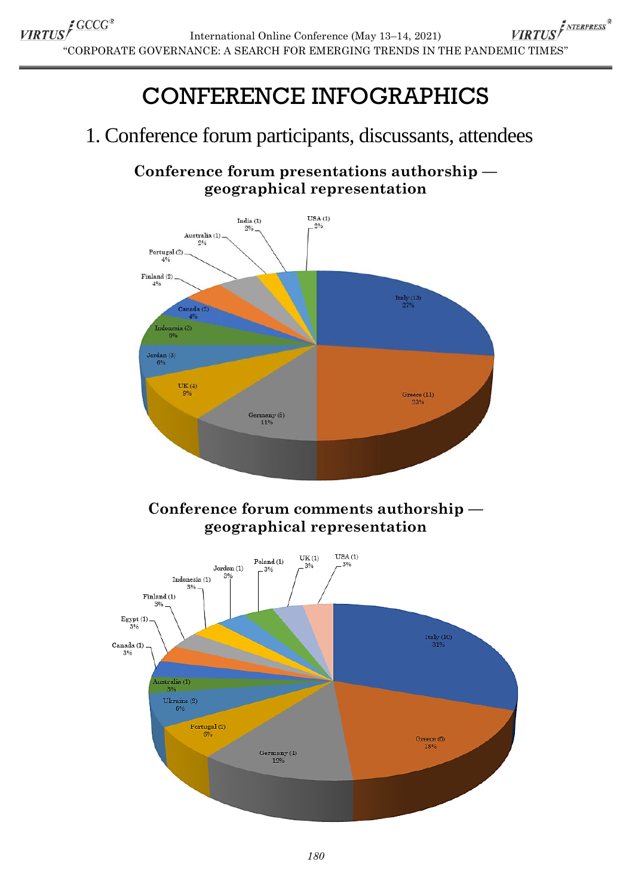# CONFERENCE INFOGRAPHICS

## 1. Conference forum participants, discussants, attendees

**Conference forum presentations authorship geographical representation**

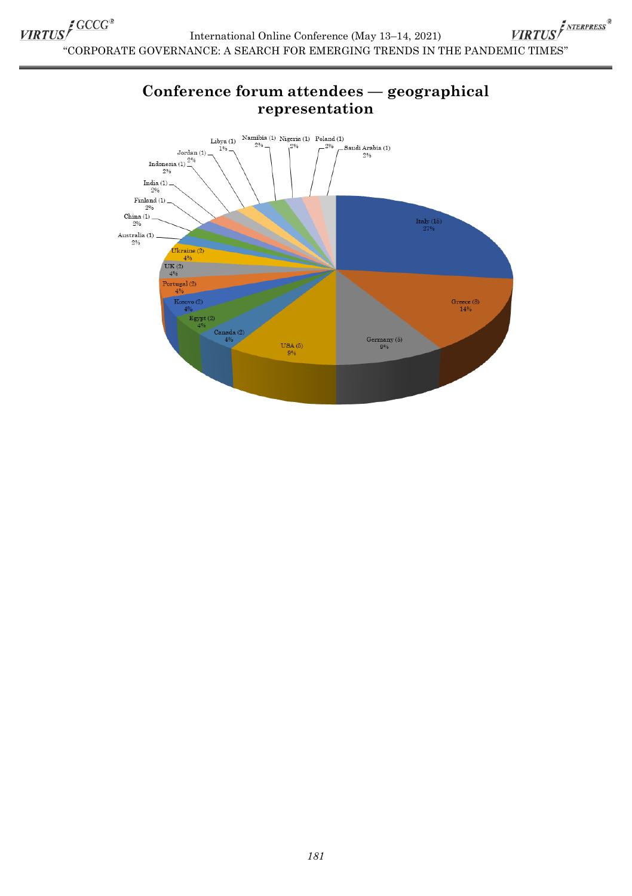VIRTUS<sup>S</sup>GCCG® SETTER SEARCH THE THE CONFIDENCE ONLY THE PANDEMIC TIMES<sup>®</sup><br>SORPORATE GOVERNANCE: A SEARCH FOR EMERGING TRENDS IN THE PANDEMIC TIMES" International Online Conference (May 13–14, 2021)

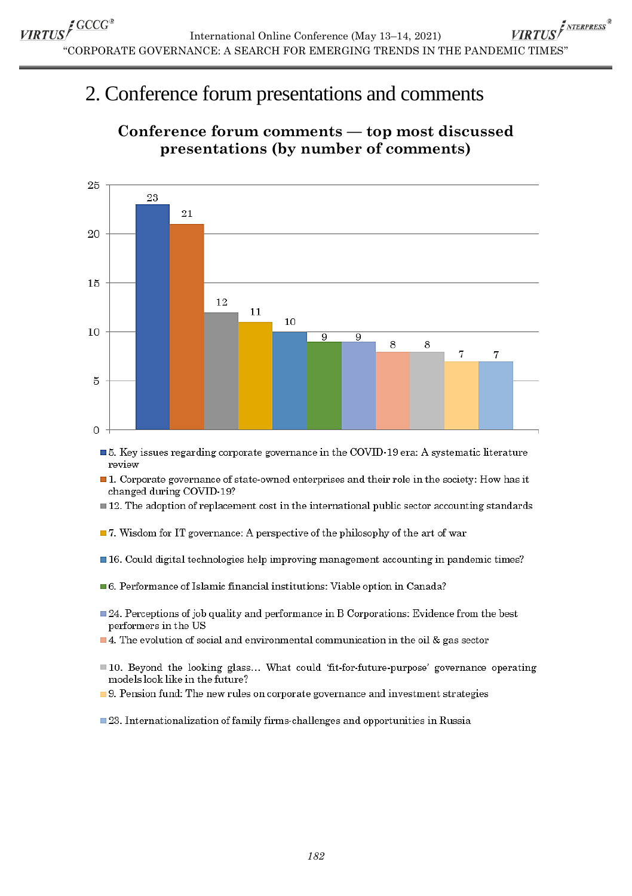## 2. Conference forum presentations and comments



#### **Conference forum comments — top most discussed presentations (by number of comments)**

- **5.** Key issues regarding corporate governance in the COVID-19 era: A systematic literature roview
- $\blacksquare$  1. Corporate governance of state-owned enterprises and their role in the society: How has it changed during COVID 19?
- $\blacksquare$  12. The adoption of replacement cost in the international public sector accounting standards
- $\blacksquare$  7. Wisdom for IT governance: A perspective of the philosophy of the art of war
- **If 16.** Could digital technologies help improving management accounting in pandemic times?
- $\blacksquare$  6. Performance of Islamic financial institutions: Viable option in Canada?
- $\Box$  24. Perceptions of job quality and performance in B Corporations: Evidence from the best performers in the US
- 4. The evolution of social and environmental communication in the oil  $\&$  gas sector
- lacktriangleright 10. Beyond the looking glass... What could 'fit-for-future-purpose' governance operating models look like in the future?
- 9. Pension fund: The new rules on corporate governance and investment strategies
- $\blacksquare$  23. Internationalization of family firms-challenges and opportunities in Russia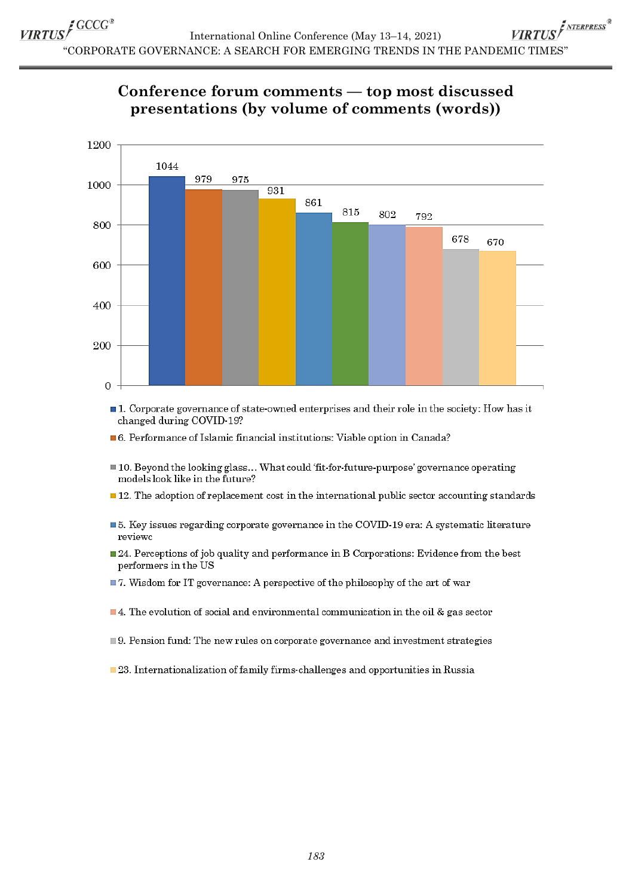VIRTUS<sup>I NTERPRESS®</sup> International Online Conference (May 13-14, 2021) "CORPORATE GOVERNANCE: A SEARCH FOR EMERGING TRENDS IN THE PANDEMIC TIMES"





■ 1. Corporate governance of state-owned enterprises and their role in the society: How has it changed during COVID-19?

■ 6. Performance of Islamic financial institutions: Viable option in Canada?

- 10. Beyond the looking glass... What could 'fit-for-future-purpose' governance operating models look like in the future?
- $\blacksquare$  12. The adoption of replacement cost in the international public sector accounting standards
- 5. Key issues regarding corporate governance in the COVID-19 era: A systematic literature reviewc
- $\Box$  24. Perceptions of job quality and performance in B Corporations: Evidence from the best performers in the US
- $\blacksquare$  7. Wisdom for IT governance: A perspective of the philosophy of the art of war
- $\blacksquare$  4. The evolution of social and environmental communication in the oil & gas sector
- 9. Pension fund: The new rules on corporate governance and investment strategies
- 23. Internationalization of family firms-challenges and opportunities in Russia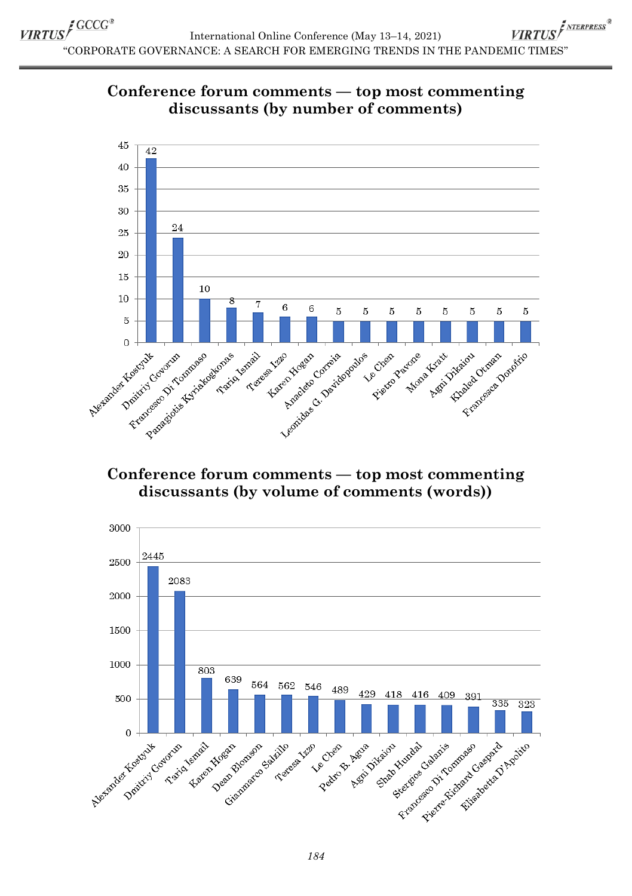



#### **Conference forum comments — top most commenting discussants (by volume of comments (words))**